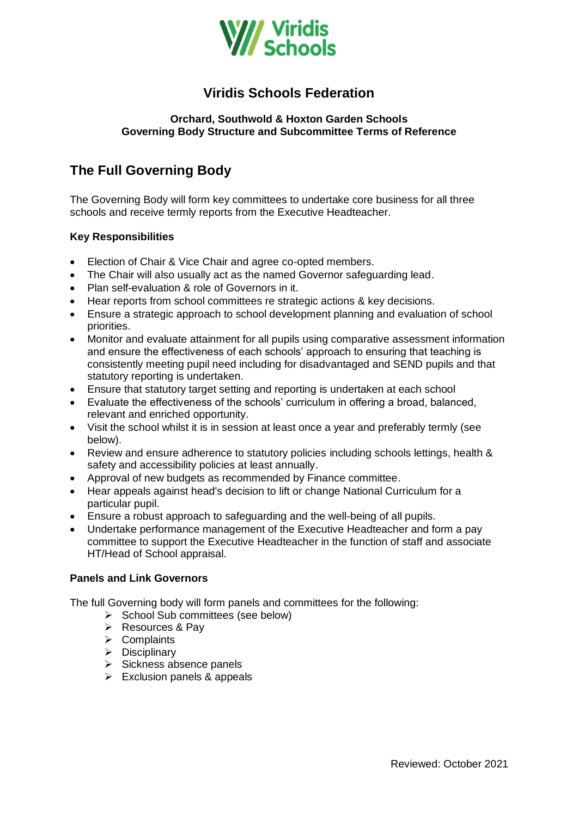

# **Viridis Schools Federation**

### **Orchard, Southwold & Hoxton Garden Schools Governing Body Structure and Subcommittee Terms of Reference**

# **The Full Governing Body**

The Governing Body will form key committees to undertake core business for all three schools and receive termly reports from the Executive Headteacher.

### **Key Responsibilities**

- Election of Chair & Vice Chair and agree co-opted members.
- The Chair will also usually act as the named Governor safeguarding lead.
- Plan self-evaluation & role of Governors in it.
- Hear reports from school committees re strategic actions & key decisions.
- Ensure a strategic approach to school development planning and evaluation of school priorities.
- Monitor and evaluate attainment for all pupils using comparative assessment information and ensure the effectiveness of each schools' approach to ensuring that teaching is consistently meeting pupil need including for disadvantaged and SEND pupils and that statutory reporting is undertaken.
- Ensure that statutory target setting and reporting is undertaken at each school
- Evaluate the effectiveness of the schools' curriculum in offering a broad, balanced, relevant and enriched opportunity.
- Visit the school whilst it is in session at least once a year and preferably termly (see below).
- Review and ensure adherence to statutory policies including schools lettings, health & safety and accessibility policies at least annually.
- Approval of new budgets as recommended by Finance committee.
- Hear appeals against head's decision to lift or change National Curriculum for a particular pupil.
- Ensure a robust approach to safeguarding and the well-being of all pupils.
- Undertake performance management of the Executive Headteacher and form a pay committee to support the Executive Headteacher in the function of staff and associate HT/Head of School appraisal.

#### **Panels and Link Governors**

The full Governing body will form panels and committees for the following:

- $\triangleright$  School Sub committees (see below)
- $\triangleright$  Resources & Pay
- $\triangleright$  Complaints
- $\triangleright$  Disciplinary
- $\triangleright$  Sickness absence panels
- $\triangleright$  Exclusion panels & appeals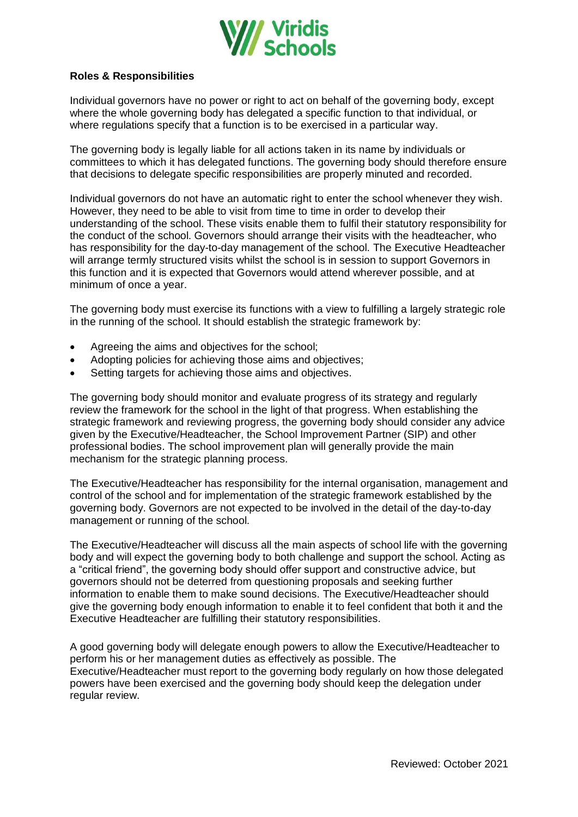

### **Roles & Responsibilities**

Individual governors have no power or right to act on behalf of the governing body, except where the whole governing body has delegated a specific function to that individual, or where regulations specify that a function is to be exercised in a particular way.

The governing body is legally liable for all actions taken in its name by individuals or committees to which it has delegated functions. The governing body should therefore ensure that decisions to delegate specific responsibilities are properly minuted and recorded.

Individual governors do not have an automatic right to enter the school whenever they wish. However, they need to be able to visit from time to time in order to develop their understanding of the school. These visits enable them to fulfil their statutory responsibility for the conduct of the school. Governors should arrange their visits with the headteacher, who has responsibility for the day-to-day management of the school. The Executive Headteacher will arrange termly structured visits whilst the school is in session to support Governors in this function and it is expected that Governors would attend wherever possible, and at minimum of once a year.

The governing body must exercise its functions with a view to fulfilling a largely strategic role in the running of the school. It should establish the strategic framework by:

- Agreeing the aims and objectives for the school;
- Adopting policies for achieving those aims and objectives;
- Setting targets for achieving those aims and objectives.

The governing body should monitor and evaluate progress of its strategy and regularly review the framework for the school in the light of that progress. When establishing the strategic framework and reviewing progress, the governing body should consider any advice given by the Executive/Headteacher, the School Improvement Partner (SIP) and other professional bodies. The school improvement plan will generally provide the main mechanism for the strategic planning process.

The Executive/Headteacher has responsibility for the internal organisation, management and control of the school and for implementation of the strategic framework established by the governing body. Governors are not expected to be involved in the detail of the day-to-day management or running of the school.

The Executive/Headteacher will discuss all the main aspects of school life with the governing body and will expect the governing body to both challenge and support the school. Acting as a "critical friend", the governing body should offer support and constructive advice, but governors should not be deterred from questioning proposals and seeking further information to enable them to make sound decisions. The Executive/Headteacher should give the governing body enough information to enable it to feel confident that both it and the Executive Headteacher are fulfilling their statutory responsibilities.

A good governing body will delegate enough powers to allow the Executive/Headteacher to perform his or her management duties as effectively as possible. The Executive/Headteacher must report to the governing body regularly on how those delegated powers have been exercised and the governing body should keep the delegation under regular review.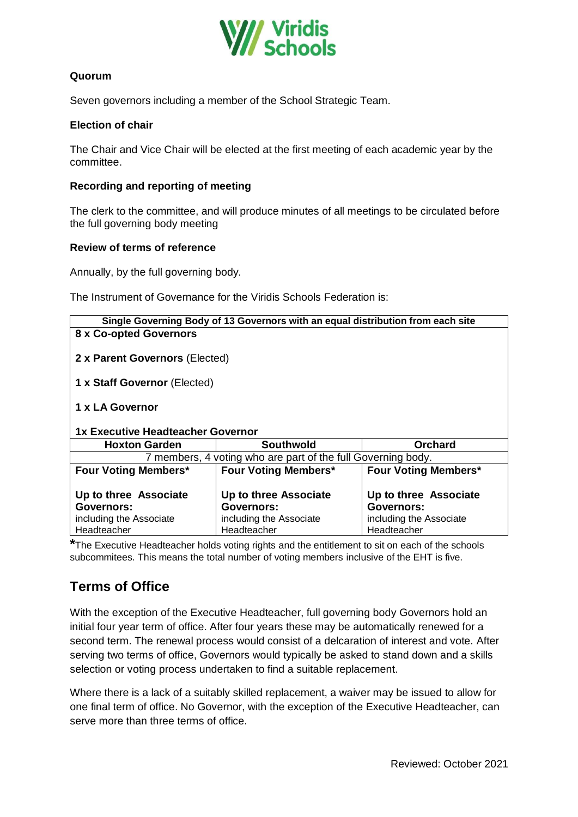

## **Quorum**

Seven governors including a member of the School Strategic Team.

#### **Election of chair**

The Chair and Vice Chair will be elected at the first meeting of each academic year by the committee.

#### **Recording and reporting of meeting**

The clerk to the committee, and will produce minutes of all meetings to be circulated before the full governing body meeting

#### **Review of terms of reference**

Annually, by the full governing body*.*

The Instrument of Governance for the Viridis Schools Federation is:

| Single Governing Body of 13 Governors with an equal distribution from each site |                                                                |                                                                       |  |  |  |
|---------------------------------------------------------------------------------|----------------------------------------------------------------|-----------------------------------------------------------------------|--|--|--|
| 8 x Co-opted Governors                                                          |                                                                |                                                                       |  |  |  |
| 2 x Parent Governors (Elected)                                                  |                                                                |                                                                       |  |  |  |
| 1 x Staff Governor (Elected)                                                    |                                                                |                                                                       |  |  |  |
| 1 x LA Governor<br>1x Executive Headteacher Governor                            |                                                                |                                                                       |  |  |  |
| <b>Hoxton Garden</b>                                                            | <b>Southwold</b>                                               | Orchard                                                               |  |  |  |
| 7 members, 4 voting who are part of the full Governing body.                    |                                                                |                                                                       |  |  |  |
| <b>Four Voting Members*</b>                                                     | <b>Four Voting Members*</b>                                    | <b>Four Voting Members*</b>                                           |  |  |  |
| Up to three Associate<br>Governors:<br>including the Associate                  | Up to three Associate<br>Governors:<br>including the Associate | Up to three Associate<br><b>Governors:</b><br>including the Associate |  |  |  |
| Headteacher                                                                     | Headteacher                                                    | Headteacher                                                           |  |  |  |

**\***The Executive Headteacher holds voting rights and the entitlement to sit on each of the schools subcommitees. This means the total number of voting members inclusive of the EHT is five.

# **Terms of Office**

With the exception of the Executive Headteacher, full governing body Governors hold an initial four year term of office. After four years these may be automatically renewed for a second term. The renewal process would consist of a delcaration of interest and vote. After serving two terms of office, Governors would typically be asked to stand down and a skills selection or voting process undertaken to find a suitable replacement.

Where there is a lack of a suitably skilled replacement, a waiver may be issued to allow for one final term of office. No Governor, with the exception of the Executive Headteacher, can serve more than three terms of office.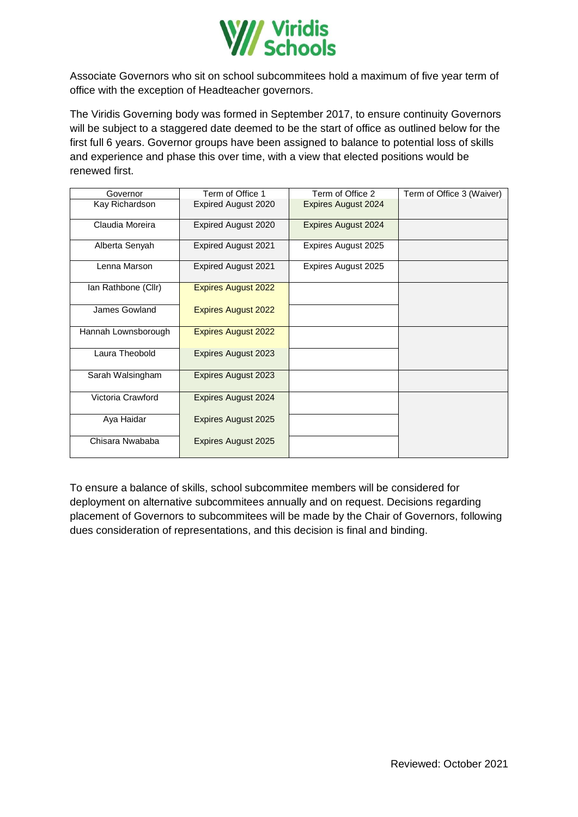

Associate Governors who sit on school subcommitees hold a maximum of five year term of office with the exception of Headteacher governors.

The Viridis Governing body was formed in September 2017, to ensure continuity Governors will be subject to a staggered date deemed to be the start of office as outlined below for the first full 6 years. Governor groups have been assigned to balance to potential loss of skills and experience and phase this over time, with a view that elected positions would be renewed first.

| Governor            | Term of Office 1           | Term of Office 2           | Term of Office 3 (Waiver) |
|---------------------|----------------------------|----------------------------|---------------------------|
| Kay Richardson      | Expired August 2020        | <b>Expires August 2024</b> |                           |
| Claudia Moreira     | Expired August 2020        | <b>Expires August 2024</b> |                           |
| Alberta Senyah      | <b>Expired August 2021</b> | Expires August 2025        |                           |
| Lenna Marson        | <b>Expired August 2021</b> | Expires August 2025        |                           |
| Ian Rathbone (Cllr) | <b>Expires August 2022</b> |                            |                           |
| James Gowland       | <b>Expires August 2022</b> |                            |                           |
| Hannah Lownsborough | <b>Expires August 2022</b> |                            |                           |
| Laura Theobold      | <b>Expires August 2023</b> |                            |                           |
| Sarah Walsingham    | <b>Expires August 2023</b> |                            |                           |
| Victoria Crawford   | <b>Expires August 2024</b> |                            |                           |
| Aya Haidar          | <b>Expires August 2025</b> |                            |                           |
| Chisara Nwababa     | <b>Expires August 2025</b> |                            |                           |

To ensure a balance of skills, school subcommitee members will be considered for deployment on alternative subcommitees annually and on request. Decisions regarding placement of Governors to subcommitees will be made by the Chair of Governors, following dues consideration of representations, and this decision is final and binding.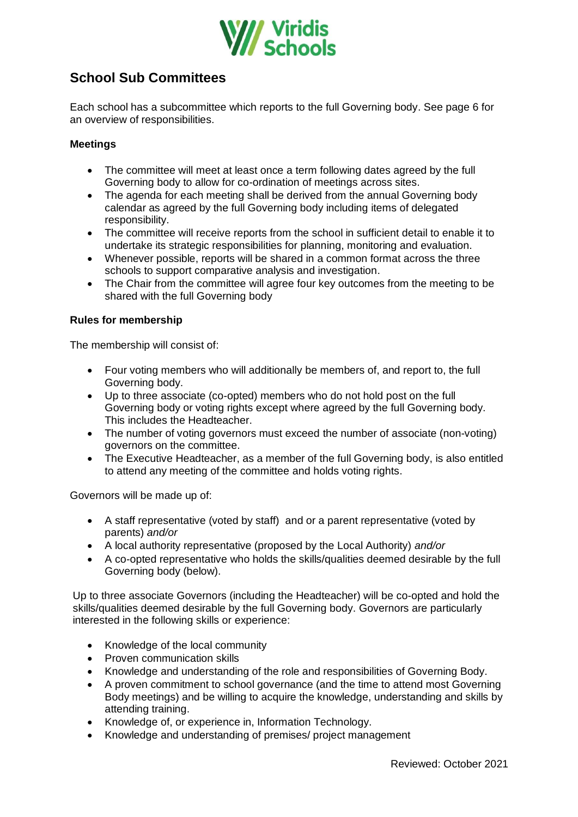

# **School Sub Committees**

Each school has a subcommittee which reports to the full Governing body. See page 6 for an overview of responsibilities.

### **Meetings**

- The committee will meet at least once a term following dates agreed by the full Governing body to allow for co-ordination of meetings across sites.
- The agenda for each meeting shall be derived from the annual Governing body calendar as agreed by the full Governing body including items of delegated responsibility.
- The committee will receive reports from the school in sufficient detail to enable it to undertake its strategic responsibilities for planning, monitoring and evaluation.
- Whenever possible, reports will be shared in a common format across the three schools to support comparative analysis and investigation.
- The Chair from the committee will agree four key outcomes from the meeting to be shared with the full Governing body

#### **Rules for membership**

The membership will consist of:

- Four voting members who will additionally be members of, and report to, the full Governing body.
- Up to three associate (co-opted) members who do not hold post on the full Governing body or voting rights except where agreed by the full Governing body. This includes the Headteacher.
- The number of voting governors must exceed the number of associate (non-voting) governors on the committee.
- The Executive Headteacher, as a member of the full Governing body, is also entitled to attend any meeting of the committee and holds voting rights.

Governors will be made up of:

- A staff representative (voted by staff) and or a parent representative (voted by parents) *and/or*
- A local authority representative (proposed by the Local Authority) *and/or*
- A co-opted representative who holds the skills/qualities deemed desirable by the full Governing body (below).

Up to three associate Governors (including the Headteacher) will be co-opted and hold the skills/qualities deemed desirable by the full Governing body. Governors are particularly interested in the following skills or experience:

- Knowledge of the local community
- Proven communication skills
- Knowledge and understanding of the role and responsibilities of Governing Body.
- A proven commitment to school governance (and the time to attend most Governing Body meetings) and be willing to acquire the knowledge, understanding and skills by attending training.
- Knowledge of, or experience in, Information Technology.
- Knowledge and understanding of premises/ project management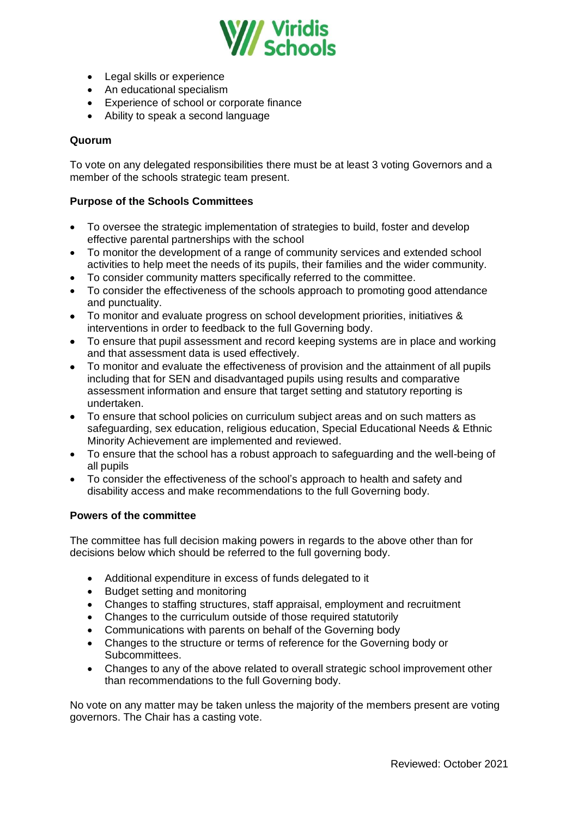

- Legal skills or experience
- An educational specialism
- Experience of school or corporate finance
- Ability to speak a second language

#### **Quorum**

To vote on any delegated responsibilities there must be at least 3 voting Governors and a member of the schools strategic team present.

#### **Purpose of the Schools Committees**

- To oversee the strategic implementation of strategies to build, foster and develop effective parental partnerships with the school
- To monitor the development of a range of community services and extended school activities to help meet the needs of its pupils, their families and the wider community.
- To consider community matters specifically referred to the committee.
- To consider the effectiveness of the schools approach to promoting good attendance and punctuality.
- To monitor and evaluate progress on school development priorities, initiatives & interventions in order to feedback to the full Governing body.
- To ensure that pupil assessment and record keeping systems are in place and working and that assessment data is used effectively.
- To monitor and evaluate the effectiveness of provision and the attainment of all pupils including that for SEN and disadvantaged pupils using results and comparative assessment information and ensure that target setting and statutory reporting is undertaken.
- To ensure that school policies on curriculum subject areas and on such matters as safeguarding, sex education, religious education, Special Educational Needs & Ethnic Minority Achievement are implemented and reviewed.
- To ensure that the school has a robust approach to safeguarding and the well-being of all pupils
- To consider the effectiveness of the school's approach to health and safety and disability access and make recommendations to the full Governing body.

#### **Powers of the committee**

The committee has full decision making powers in regards to the above other than for decisions below which should be referred to the full governing body.

- Additional expenditure in excess of funds delegated to it
- Budget setting and monitoring
- Changes to staffing structures, staff appraisal, employment and recruitment
- Changes to the curriculum outside of those required statutorily
- Communications with parents on behalf of the Governing body
- Changes to the structure or terms of reference for the Governing body or Subcommittees.
- Changes to any of the above related to overall strategic school improvement other than recommendations to the full Governing body.

No vote on any matter may be taken unless the majority of the members present are voting governors. The Chair has a casting vote.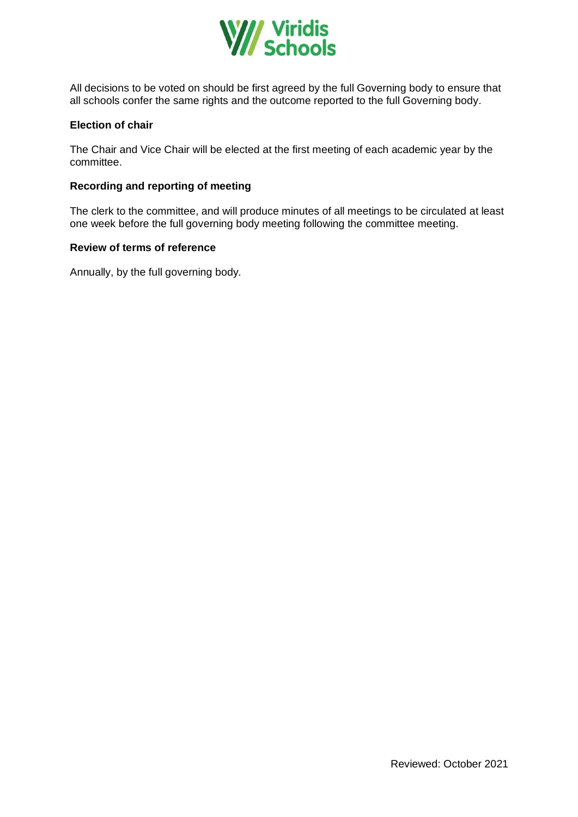

All decisions to be voted on should be first agreed by the full Governing body to ensure that all schools confer the same rights and the outcome reported to the full Governing body.

### **Election of chair**

The Chair and Vice Chair will be elected at the first meeting of each academic year by the committee.

### **Recording and reporting of meeting**

The clerk to the committee, and will produce minutes of all meetings to be circulated at least one week before the full governing body meeting following the committee meeting.

#### **Review of terms of reference**

Annually, by the full governing body*.*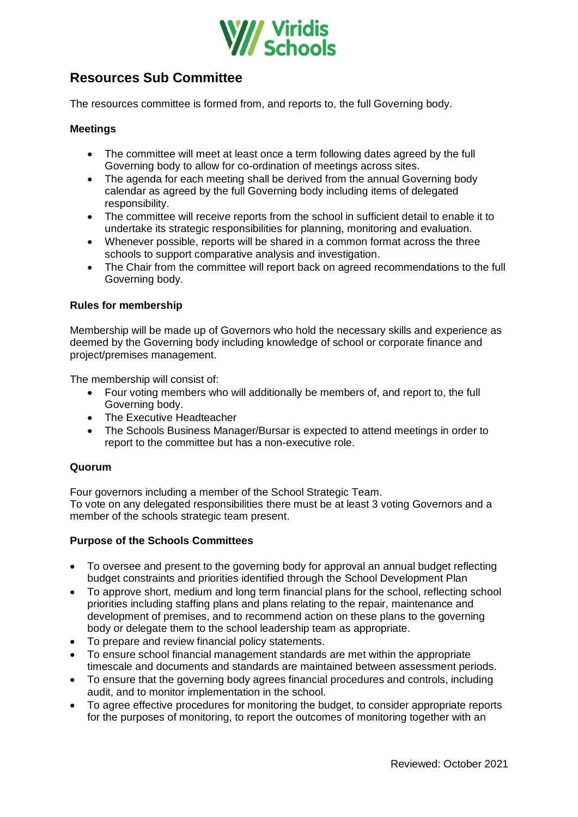

# **Resources Sub Committee**

The resources committee is formed from, and reports to, the full Governing body.

#### **Meetings**

- The committee will meet at least once a term following dates agreed by the full Governing body to allow for co-ordination of meetings across sites.
- The agenda for each meeting shall be derived from the annual Governing body calendar as agreed by the full Governing body including items of delegated responsibility.
- The committee will receive reports from the school in sufficient detail to enable it to undertake its strategic responsibilities for planning, monitoring and evaluation.
- Whenever possible, reports will be shared in a common format across the three schools to support comparative analysis and investigation.
- The Chair from the committee will report back on agreed recommendations to the full Governing body.

#### **Rules for membership**

Membership will be made up of Governors who hold the necessary skills and experience as deemed by the Governing body including knowledge of school or corporate finance and project/premises management.

The membership will consist of:

- Four voting members who will additionally be members of, and report to, the full Governing body.
- The Executive Headteacher
- The Schools Business Manager/Bursar is expected to attend meetings in order to report to the committee but has a non-executive role.

#### **Quorum**

Four governors including a member of the School Strategic Team. To vote on any delegated responsibilities there must be at least 3 voting Governors and a member of the schools strategic team present.

#### **Purpose of the Schools Committees**

- To oversee and present to the governing body for approval an annual budget reflecting budget constraints and priorities identified through the School Development Plan
- To approve short, medium and long term financial plans for the school, reflecting school priorities including staffing plans and plans relating to the repair, maintenance and development of premises, and to recommend action on these plans to the governing body or delegate them to the school leadership team as appropriate.
- To prepare and review financial policy statements.
- To ensure school financial management standards are met within the appropriate timescale and documents and standards are maintained between assessment periods.
- To ensure that the governing body agrees financial procedures and controls, including audit, and to monitor implementation in the school.
- To agree effective procedures for monitoring the budget, to consider appropriate reports for the purposes of monitoring, to report the outcomes of monitoring together with an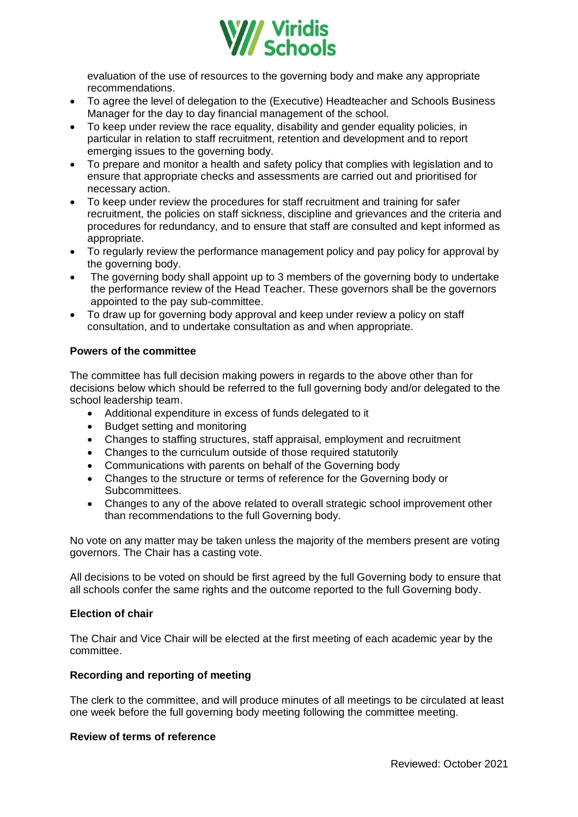

evaluation of the use of resources to the governing body and make any appropriate recommendations.

- To agree the level of delegation to the (Executive) Headteacher and Schools Business Manager for the day to day financial management of the school.
- To keep under review the race equality, disability and gender equality policies, in particular in relation to staff recruitment, retention and development and to report emerging issues to the governing body.
- To prepare and monitor a health and safety policy that complies with legislation and to ensure that appropriate checks and assessments are carried out and prioritised for necessary action.
- To keep under review the procedures for staff recruitment and training for safer recruitment, the policies on staff sickness, discipline and grievances and the criteria and procedures for redundancy, and to ensure that staff are consulted and kept informed as appropriate.
- To regularly review the performance management policy and pay policy for approval by the governing body.
- The governing body shall appoint up to 3 members of the governing body to undertake the performance review of the Head Teacher. These governors shall be the governors appointed to the pay sub-committee.
- To draw up for governing body approval and keep under review a policy on staff consultation, and to undertake consultation as and when appropriate.

#### **Powers of the committee**

The committee has full decision making powers in regards to the above other than for decisions below which should be referred to the full governing body and/or delegated to the school leadership team.

- Additional expenditure in excess of funds delegated to it
- Budget setting and monitoring
- Changes to staffing structures, staff appraisal, employment and recruitment
- Changes to the curriculum outside of those required statutorily
- Communications with parents on behalf of the Governing body
- Changes to the structure or terms of reference for the Governing body or Subcommittees.
- Changes to any of the above related to overall strategic school improvement other than recommendations to the full Governing body.

No vote on any matter may be taken unless the majority of the members present are voting governors. The Chair has a casting vote.

All decisions to be voted on should be first agreed by the full Governing body to ensure that all schools confer the same rights and the outcome reported to the full Governing body.

#### **Election of chair**

The Chair and Vice Chair will be elected at the first meeting of each academic year by the committee.

#### **Recording and reporting of meeting**

The clerk to the committee, and will produce minutes of all meetings to be circulated at least one week before the full governing body meeting following the committee meeting.

#### **Review of terms of reference**